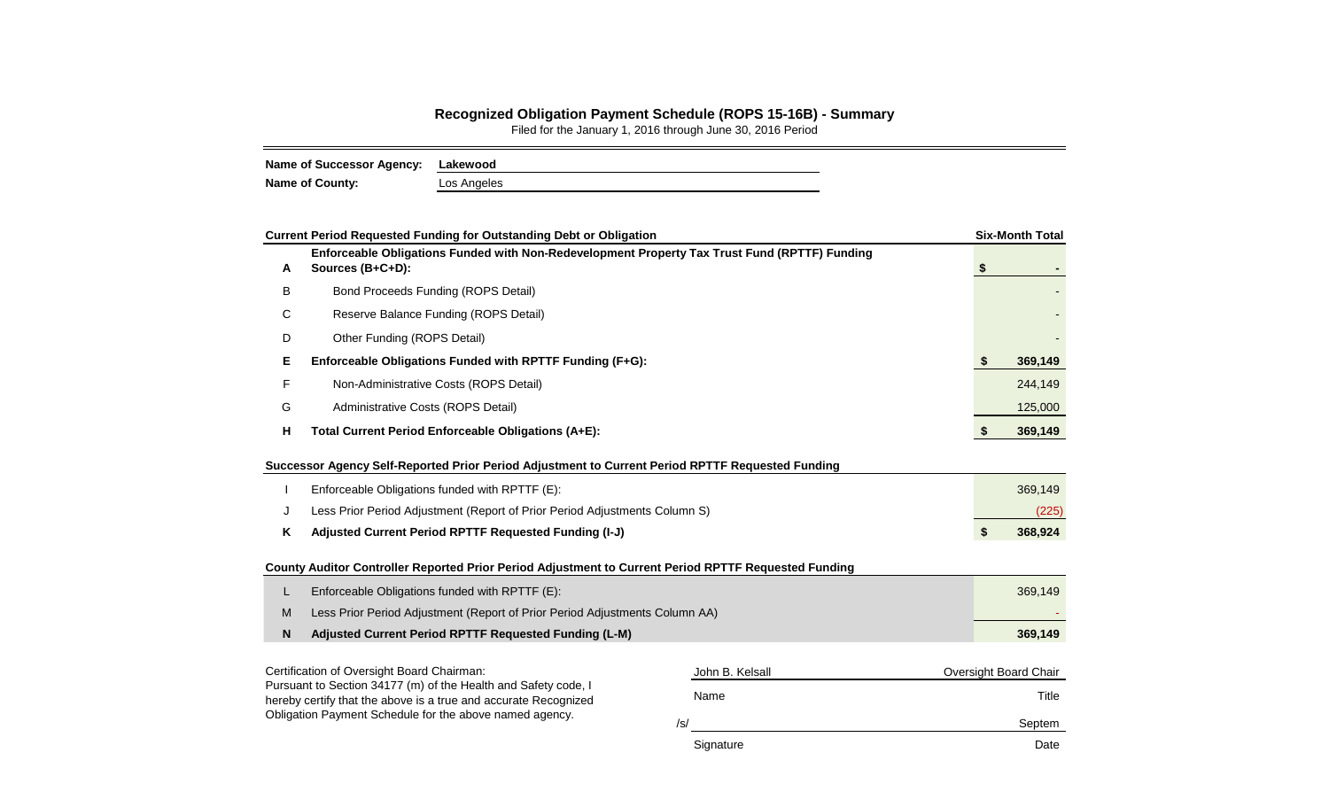## **Recognized Obligation Payment Schedule (ROPS 15-16B) - Summary**

Filed for the January 1, 2016 through June 30, 2016 Period

| Name of Successor Agency: Lakewood |             |
|------------------------------------|-------------|
| <b>Name of County:</b>             | Los Angeles |

|                                                                                                                                   | <b>Current Period Requested Funding for Outstanding Debt or Obligation</b>                                        |        |                 |    |    | <b>Six-Month Total</b> |  |  |  |  |  |
|-----------------------------------------------------------------------------------------------------------------------------------|-------------------------------------------------------------------------------------------------------------------|--------|-----------------|----|----|------------------------|--|--|--|--|--|
| A                                                                                                                                 | Enforceable Obligations Funded with Non-Redevelopment Property Tax Trust Fund (RPTTF) Funding<br>Sources (B+C+D): |        |                 | \$ |    |                        |  |  |  |  |  |
| В                                                                                                                                 | Bond Proceeds Funding (ROPS Detail)                                                                               |        |                 |    |    |                        |  |  |  |  |  |
| С                                                                                                                                 | Reserve Balance Funding (ROPS Detail)                                                                             |        |                 |    |    |                        |  |  |  |  |  |
| D                                                                                                                                 | Other Funding (ROPS Detail)                                                                                       |        |                 |    |    |                        |  |  |  |  |  |
| Е                                                                                                                                 | Enforceable Obligations Funded with RPTTF Funding (F+G):                                                          |        |                 |    | \$ | 369,149                |  |  |  |  |  |
| F                                                                                                                                 | Non-Administrative Costs (ROPS Detail)                                                                            |        |                 |    |    | 244,149                |  |  |  |  |  |
| G                                                                                                                                 | Administrative Costs (ROPS Detail)                                                                                |        |                 |    |    | 125,000                |  |  |  |  |  |
| н                                                                                                                                 | Total Current Period Enforceable Obligations (A+E):                                                               |        |                 | \$ |    | 369,149                |  |  |  |  |  |
|                                                                                                                                   | Successor Agency Self-Reported Prior Period Adjustment to Current Period RPTTF Requested Funding                  |        |                 |    |    |                        |  |  |  |  |  |
|                                                                                                                                   | Enforceable Obligations funded with RPTTF (E):                                                                    |        |                 |    |    | 369,149                |  |  |  |  |  |
| J                                                                                                                                 | Less Prior Period Adjustment (Report of Prior Period Adjustments Column S)                                        |        |                 |    |    | (225)                  |  |  |  |  |  |
| Κ                                                                                                                                 | Adjusted Current Period RPTTF Requested Funding (I-J)                                                             |        |                 |    | \$ | 368,924                |  |  |  |  |  |
|                                                                                                                                   | County Auditor Controller Reported Prior Period Adjustment to Current Period RPTTF Requested Funding              |        |                 |    |    |                        |  |  |  |  |  |
| L                                                                                                                                 | Enforceable Obligations funded with RPTTF (E):                                                                    |        |                 |    |    | 369,149                |  |  |  |  |  |
| M                                                                                                                                 | Less Prior Period Adjustment (Report of Prior Period Adjustments Column AA)                                       |        |                 |    |    |                        |  |  |  |  |  |
| N                                                                                                                                 | Adjusted Current Period RPTTF Requested Funding (L-M)                                                             |        |                 |    |    | 369,149                |  |  |  |  |  |
|                                                                                                                                   | Certification of Oversight Board Chairman:                                                                        |        | John B. Kelsall |    |    | Oversight Board Chair  |  |  |  |  |  |
| Pursuant to Section 34177 (m) of the Health and Safety code, I<br>hereby certify that the above is a true and accurate Recognized |                                                                                                                   |        | Title           |    |    |                        |  |  |  |  |  |
| Obligation Payment Schedule for the above named agency.                                                                           |                                                                                                                   | Septem |                 |    |    |                        |  |  |  |  |  |
|                                                                                                                                   |                                                                                                                   |        | Signature       |    |    | Date                   |  |  |  |  |  |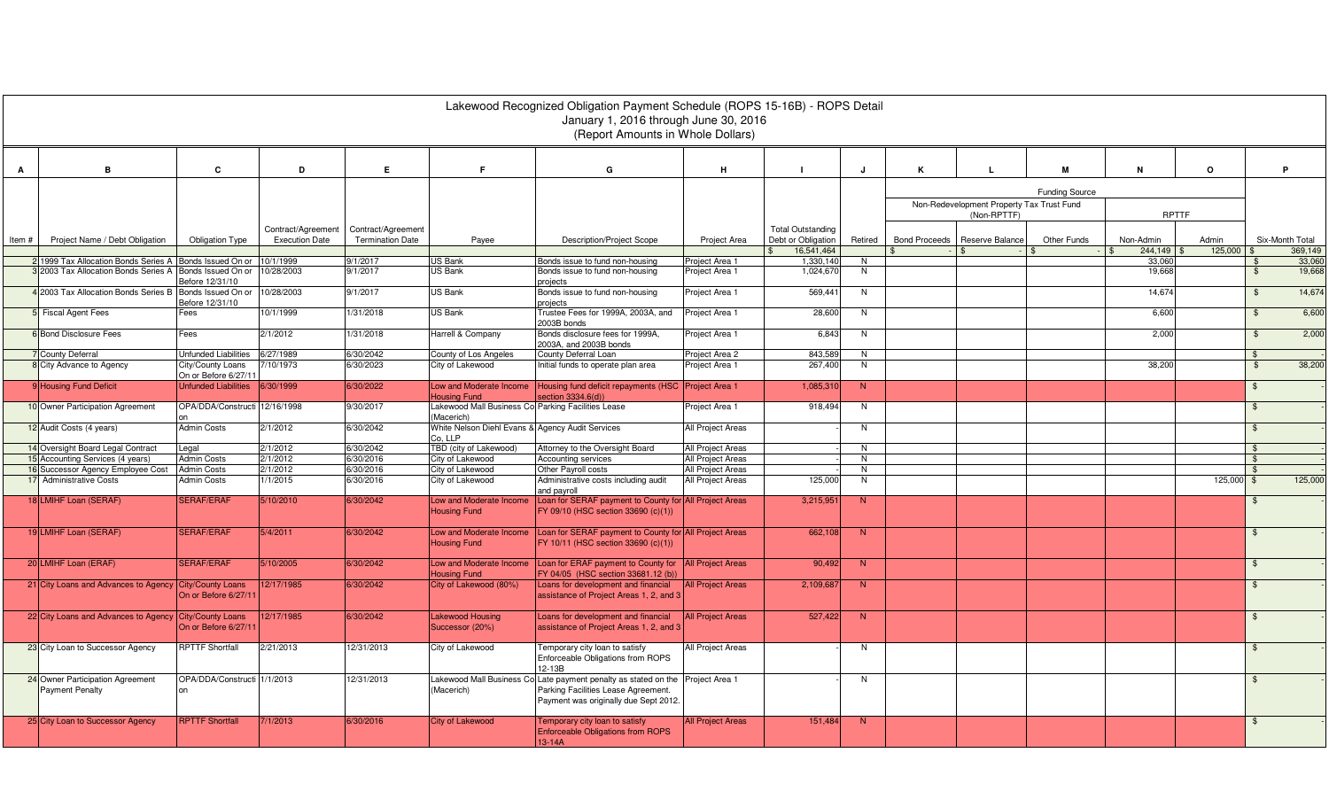|       |                                                              |                                                                   |                        |                         |                                                                  | Lakewood Recognized Obligation Payment Schedule (ROPS 15-16B) - ROPS Detail<br>January 1, 2016 through June 30, 2016<br>(Report Amounts in Whole Dollars)      |                                        |                                  |                |                      |                                           |                       |                      |                  |                                |                            |
|-------|--------------------------------------------------------------|-------------------------------------------------------------------|------------------------|-------------------------|------------------------------------------------------------------|----------------------------------------------------------------------------------------------------------------------------------------------------------------|----------------------------------------|----------------------------------|----------------|----------------------|-------------------------------------------|-----------------------|----------------------|------------------|--------------------------------|----------------------------|
| A     | B                                                            | C                                                                 | D                      | E                       | E                                                                | G                                                                                                                                                              | н                                      |                                  | J              | ĸ                    |                                           | м                     | N                    | $\circ$          |                                | P                          |
|       |                                                              |                                                                   |                        |                         |                                                                  |                                                                                                                                                                |                                        |                                  |                |                      | Non-Redevelopment Property Tax Trust Fund | <b>Funding Source</b> |                      |                  |                                |                            |
|       |                                                              |                                                                   | Contract/Agreement     | Contract/Agreement      |                                                                  |                                                                                                                                                                |                                        | <b>Total Outstanding</b>         |                |                      | (Non-RPTTF)                               |                       | <b>RPTTF</b>         |                  |                                |                            |
| Item# | Project Name / Debt Obligation                               | <b>Obligation Type</b>                                            | <b>Execution Date</b>  | <b>Termination Date</b> | Payee                                                            | <b>Description/Project Scope</b>                                                                                                                               | Project Area                           | Debt or Obligation<br>16,541,464 | Retired        | <b>Bond Proceeds</b> | Reserve Balance<br>$\hat{\tau}$           | Other Funds           | Non-Admin<br>244,149 | Admin<br>125,000 |                                | Six-Month Total<br>369,149 |
|       | 2 1999 Tax Allocation Bonds Series A                         | Bonds Issued On or                                                | 10/1/1999              | 9/1/2017                | <b>US Bank</b>                                                   | Bonds issue to fund non-housing                                                                                                                                | Project Area 1                         | 1,330,140                        | N              |                      |                                           |                       | 33,06                |                  |                                | 33,060                     |
|       | 32003 Tax Allocation Bonds Series A Bonds Issued On or       | Before 12/31/10                                                   | 10/28/2003             | 9/1/2017                | <b>US Bank</b>                                                   | Bonds issue to fund non-housing<br>projects                                                                                                                    | Project Area 1                         | 1,024,67                         | N              |                      |                                           |                       | 19,668               |                  | $\frac{1}{2}$                  | 19,668                     |
|       | 4 2003 Tax Allocation Bonds Series B                         | Bonds Issued On or<br>Before 12/31/10                             | 10/28/2003             | 9/1/2017                | <b>US Bank</b>                                                   | Bonds issue to fund non-housing<br>projects                                                                                                                    | Project Area 1                         | 569,441                          | $\overline{N}$ |                      |                                           |                       | 14,674               |                  | $\frac{1}{2}$                  | 14,674                     |
|       | <b>5</b> Fiscal Agent Fees                                   | =ees                                                              | 10/1/1999              | 1/31/2018               | <b>US Bank</b>                                                   | Trustee Fees for 1999A, 2003A, and<br>2003B bonds                                                                                                              | Project Area 1                         | 28,600                           | N              |                      |                                           |                       | 6,600                |                  | $\mathbb{S}$                   | 6,600                      |
|       | <b>6</b> Bond Disclosure Fees                                | Fees                                                              | 2/1/2012               | 1/31/2018               | Harrell & Company                                                | Bonds disclosure fees for 1999A.<br>2003A, and 2003B bonds                                                                                                     | Project Area 1                         | 6,843                            | N              |                      |                                           |                       | 2,000                |                  | $\mathfrak{L}$                 | 2,000                      |
|       | 7 County Deferral<br>8 City Advance to Agency                | Unfunded Liabilities<br>City/County Loans<br>On or Before 6/27/11 | 6/27/1989<br>7/10/1973 | 6/30/2042<br>6/30/2023  | County of Los Angeles<br>City of Lakewood                        | County Deferral Loan<br>nitial funds to operate plan area                                                                                                      | Project Area 2<br>Project Area 1       | 843,58<br>267,400                | N<br>N         |                      |                                           |                       | 38,200               |                  | $\mathcal{L}$<br>$\frac{1}{2}$ | 38,200                     |
|       | 9 Housing Fund Deficit                                       | <b>Unfunded Liabilities</b>                                       | 6/30/1999              | 6/30/2022               | Low and Moderate Income<br><b>Housing Fund</b>                   | Housing fund deficit repayments (HSC Project Area 1<br>section 3334.6(d))                                                                                      |                                        | 1,085,31                         | N              |                      |                                           |                       |                      |                  | \$                             |                            |
|       | 10 Owner Participation Agreement                             | OPA/DDA/Constructi 12/16/1998                                     |                        | 9/30/2017               | Lakewood Mall Business Co Parking Facilities Lease<br>(Macerich) |                                                                                                                                                                | Project Area 1                         | 918,494                          | N.             |                      |                                           |                       |                      |                  | $\mathbf{\$}$                  |                            |
|       | 12 Audit Costs (4 years)                                     | <b>Admin Costs</b>                                                | 2/1/2012               | 6/30/2042               | White Nelson Diehl Evans & Agency Audit Services<br>Co. LLP      |                                                                                                                                                                | All Project Areas                      |                                  | N              |                      |                                           |                       |                      |                  | $\mathfrak{F}$                 |                            |
|       | 14 Oversight Board Legal Contract                            | Legal                                                             | 2/1/2012               | 6/30/2042               | TBD (city of Lakewood)                                           | Attorney to the Oversight Board                                                                                                                                | All Project Areas                      |                                  | N              |                      |                                           |                       |                      |                  | $\mathbf{\hat{F}}$             |                            |
|       | 15 Accounting Services (4 years)                             | <b>Admin Costs</b>                                                | 2/1/2012               | 6/30/2016               | City of Lakewood                                                 | <b>Accounting services</b>                                                                                                                                     | All Project Areas                      |                                  | $\overline{N}$ |                      |                                           |                       |                      |                  | ¢                              |                            |
|       | 16 Successor Agency Employee Cost<br>17 Administrative Costs | <b>Admin Costs</b><br><b>Admin Costs</b>                          | 2/1/2012<br>1/1/2015   | 6/30/2016<br>6/30/2016  | City of Lakewood<br>City of Lakewood                             | Other Payroll costs<br>Administrative costs including audit<br>and payroll                                                                                     | All Project Areas<br>All Project Areas | 125,000                          | N<br>N         |                      |                                           |                       |                      | 125,000          | $\mathfrak{S}$                 | 125,000                    |
|       | 18 LMIHF Loan (SERAF)                                        | <b>SERAF/ERAF</b>                                                 | 5/10/2010              | 6/30/2042               | Low and Moderate Income<br><b>Housing Fund</b>                   | Loan for SERAF payment to County for All Project Areas<br>FY 09/10 (HSC section 33690 (c)(1))                                                                  |                                        | 3,215,95                         | N              |                      |                                           |                       |                      |                  |                                |                            |
|       | 19 LMIHF Loan (SERAF)                                        | <b>SERAF/ERAF</b>                                                 | 5/4/2011               | 6/30/2042               | Low and Moderate Income<br><b>Housing Fund</b>                   | Loan for SERAF payment to County for All Project Areas<br>FY 10/11 (HSC section 33690 (c)(1))                                                                  |                                        | 662,108                          | N              |                      |                                           |                       |                      |                  | $\mathfrak{L}$                 |                            |
|       | 20 LMIHF Loan (ERAF)                                         | <b>SERAF/ERAF</b>                                                 | 5/10/2005              | 6/30/2042               | Low and Moderate Income<br><b>Housing Fund</b>                   | Loan for ERAF payment to County for<br>FY 04/05 (HSC section 33681.12 (b))                                                                                     | <b>All Project Areas</b>               | 90,492                           | N              |                      |                                           |                       |                      |                  | $\mathfrak{S}$                 |                            |
|       | 21 City Loans and Advances to Agency City/County Loans       | On or Before 6/27/1                                               | 12/17/1985             | 6/30/2042               | City of Lakewood (80%)                                           | Loans for development and financial<br>assistance of Project Areas 1, 2, and 3                                                                                 | <b>All Project Areas</b>               | 2,109,68                         | N              |                      |                                           |                       |                      |                  | \$                             |                            |
|       | 22 City Loans and Advances to Agency City/County Loans       | On or Before 6/27/1                                               | 2/17/1985              | 6/30/2042               | <b>Lakewood Housing</b><br>Successor (20%)                       | Loans for development and financial<br>assistance of Project Areas 1, 2, and 3                                                                                 | <b>All Project Areas</b>               | 527,422                          | N              |                      |                                           |                       |                      |                  | $\mathfrak{F}$                 |                            |
|       | 23 City Loan to Successor Agency                             | <b>RPTTF Shortfall</b>                                            | 2/21/2013              | 12/31/2013              | City of Lakewood                                                 | Femporary city loan to satisfy<br>Enforceable Obligations from ROPS<br>12-13B                                                                                  | <b>Il Project Areas</b>                |                                  | N              |                      |                                           |                       |                      |                  |                                |                            |
|       | 24 Owner Participation Agreement<br><b>Payment Penalty</b>   | OPA/DDA/Constructi 1/1/2013<br>nn                                 |                        | 12/31/2013              | (Macerich)                                                       | Lakewood Mall Business Co Late payment penalty as stated on the Project Area 1<br>Parking Facilities Lease Agreement.<br>Payment was originally due Sept 2012. |                                        |                                  | N              |                      |                                           |                       |                      |                  | \$                             |                            |
|       | 25 City Loan to Successor Agency                             | <b>RPTTF Shortfall</b>                                            | 7/1/2013               | 6/30/2016               | <b>City of Lakewood</b>                                          | Temporary city loan to satisfy<br><b>Enforceable Obligations from ROPS</b><br>$13-14A$                                                                         | <b>All Project Areas</b>               | 151,484                          | N              |                      |                                           |                       |                      |                  | $\mathfrak{L}$                 |                            |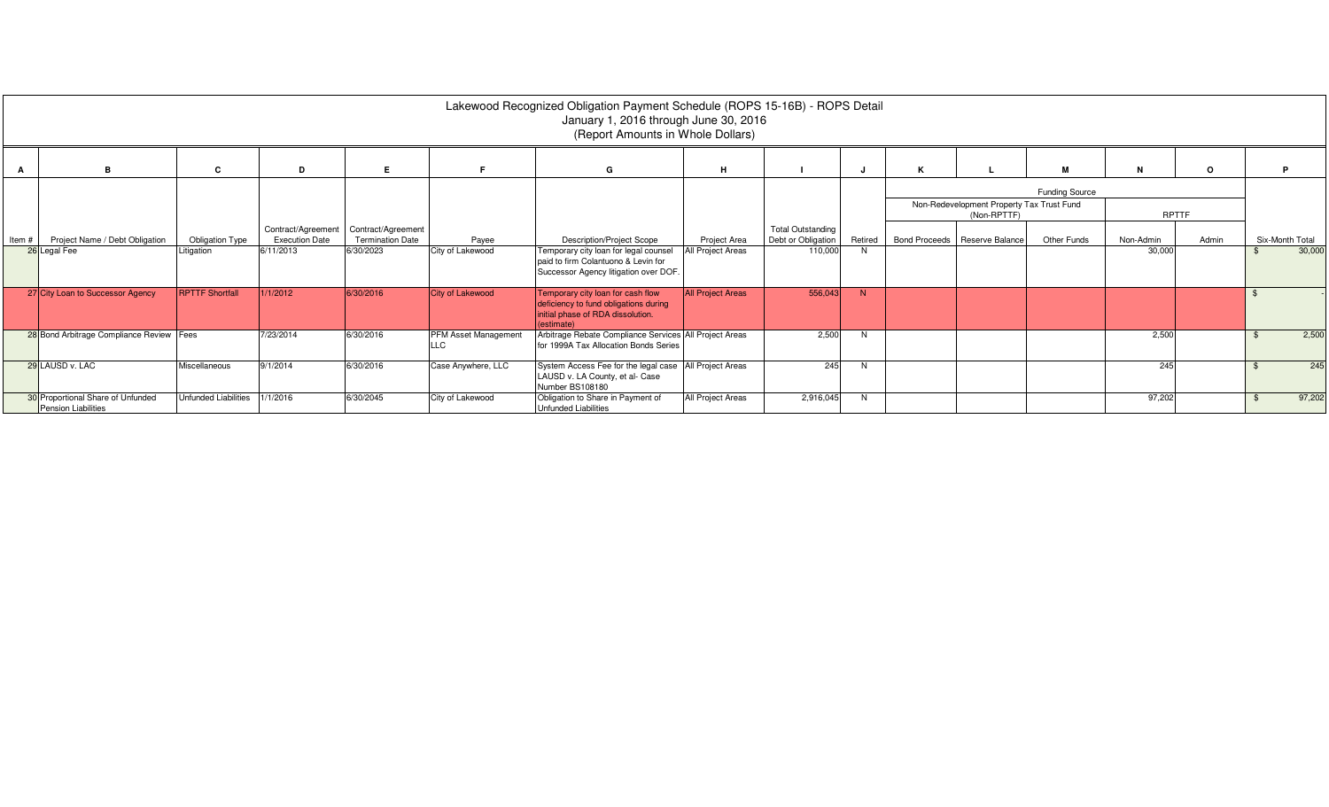|       |                                                                 |                        |                                             |                                               |                      | Lakewood Recognized Obligation Payment Schedule (ROPS 15-16B) - ROPS Detail<br>January 1, 2016 through June 30, 2016<br>(Report Amounts in Whole Dollars) |                          |                                                |         |   |                                                          |                |           |         |                 |
|-------|-----------------------------------------------------------------|------------------------|---------------------------------------------|-----------------------------------------------|----------------------|-----------------------------------------------------------------------------------------------------------------------------------------------------------|--------------------------|------------------------------------------------|---------|---|----------------------------------------------------------|----------------|-----------|---------|-----------------|
|       | <b>B</b>                                                        | C                      | D                                           | Е                                             |                      | G                                                                                                                                                         | н                        |                                                |         | к |                                                          | м              | N         | $\circ$ |                 |
|       |                                                                 |                        |                                             |                                               |                      |                                                                                                                                                           |                          |                                                |         |   | Non-Redevelopment Property Tax Trust Fund<br>(Non-RPTTF) | Funding Source | RPTTF     |         |                 |
| Item# | Project Name / Debt Obligation                                  | <b>Obligation Type</b> | Contract/Agreement<br><b>Execution Date</b> | Contract/Agreement<br><b>Termination Date</b> | Payee                | <b>Description/Project Scope</b>                                                                                                                          | <b>Project Area</b>      | <b>Total Outstanding</b><br>Debt or Obligation | Retired |   | Bond Proceeds   Reserve Balance                          | Other Funds    | Non-Admin | Admin   | Six-Month Total |
|       | 26 Legal Fee                                                    | Litigation             | 6/11/2013                                   | 6/30/2023                                     | City of Lakewood     | Temporary city loan for legal counsel<br>paid to firm Colantuono & Levin for<br>Successor Agency litigation over DOF.                                     | All Project Areas        | 110,000                                        |         |   |                                                          |                | 30,000    |         | 30,000          |
|       | 27 City Loan to Successor Agency                                | <b>RPTTF Shortfall</b> | 1/1/2012                                    | 6/30/2016                                     | City of Lakewood     | Temporary city loan for cash flow<br>deficiency to fund obligations during<br>initial phase of RDA dissolution.<br>(estimate)                             | <b>All Project Areas</b> | 556,043                                        | N       |   |                                                          |                |           |         |                 |
|       | 28 Bond Arbitrage Compliance Review Fees                        |                        | 7/23/2014                                   | 6/30/2016                                     | PFM Asset Management | Arbitrage Rebate Compliance Services All Project Areas<br>for 1999A Tax Allocation Bonds Series                                                           |                          | 2,500                                          | N       |   |                                                          |                | 2,500     |         | 2,500           |
|       | 29 LAUSD v. LAC                                                 | Miscellaneous          | 9/1/2014                                    | 6/30/2016                                     | Case Anywhere, LLC   | System Access Fee for the legal case<br>LAUSD v. LA County, et al- Case<br>Number BS108180                                                                | All Project Areas        | 245                                            |         |   |                                                          |                | 245       |         | 245             |
|       | 30 Proportional Share of Unfunded<br><b>Pension Liabilities</b> | Unfunded Liabilities   | 1/1/2016                                    | 6/30/2045                                     | City of Lakewood     | Obligation to Share in Payment of<br><b>Unfunded Liabilities</b>                                                                                          | All Project Areas        | 2,916,045                                      | N       |   |                                                          |                | 97,202    |         | 97,202          |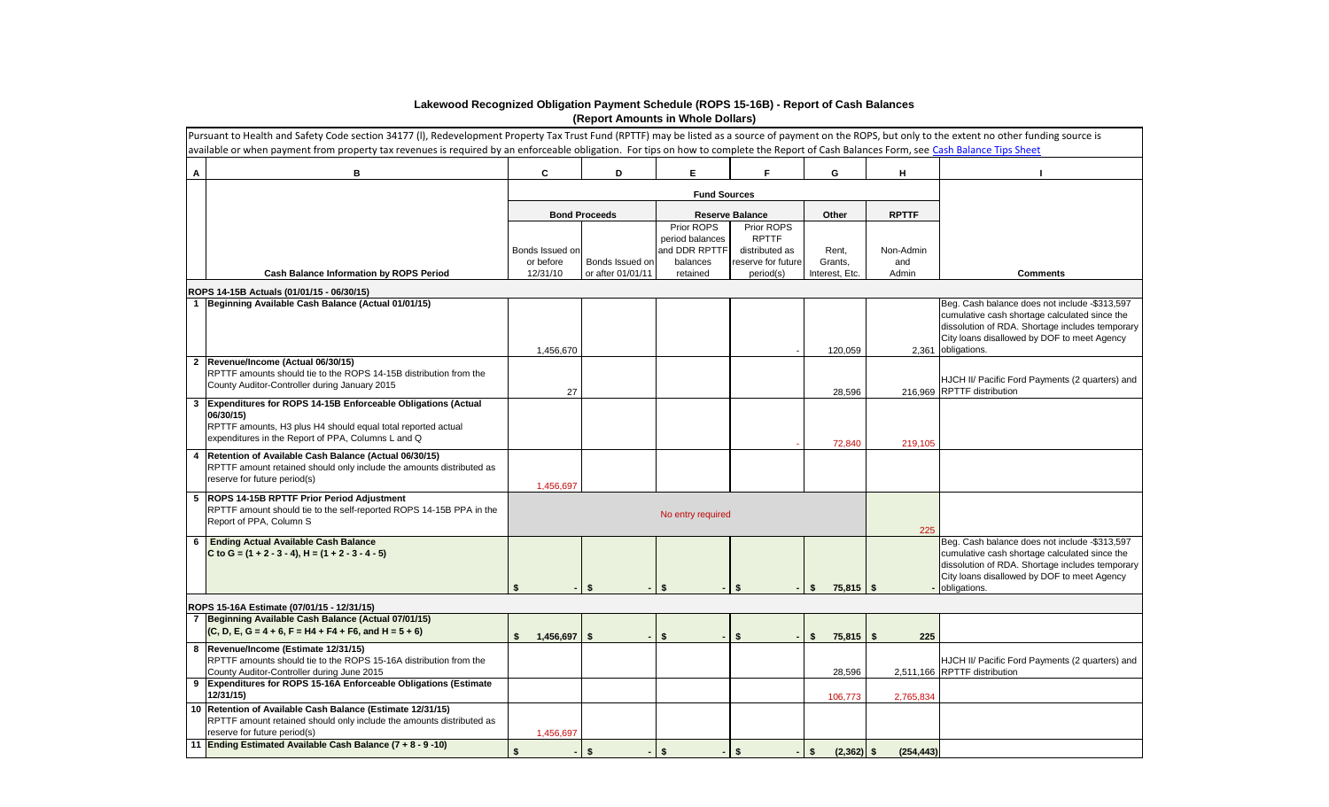|                | Pursuant to Health and Safety Code section 34177 (I), Redevelopment Property Tax Trust Fund (RPTTF) may be listed as a source of payment on the ROPS, but only to the extent no other funding source is<br>available or when payment from property tax revenues is required by an enforceable obligation. For tips on how to complete the Report of Cash Balances Form, see Cash Balance Tips Sheet |                              |                      |                                                            |                                                                    |                                |                  |                                                                                                                                                                                                                        |
|----------------|-----------------------------------------------------------------------------------------------------------------------------------------------------------------------------------------------------------------------------------------------------------------------------------------------------------------------------------------------------------------------------------------------------|------------------------------|----------------------|------------------------------------------------------------|--------------------------------------------------------------------|--------------------------------|------------------|------------------------------------------------------------------------------------------------------------------------------------------------------------------------------------------------------------------------|
| $\mathsf{A}$   | В                                                                                                                                                                                                                                                                                                                                                                                                   | C                            | D                    | E.                                                         | F                                                                  | G                              | Н.               |                                                                                                                                                                                                                        |
|                |                                                                                                                                                                                                                                                                                                                                                                                                     |                              |                      |                                                            |                                                                    |                                |                  |                                                                                                                                                                                                                        |
|                |                                                                                                                                                                                                                                                                                                                                                                                                     |                              | <b>Bond Proceeds</b> |                                                            | <b>Reserve Balance</b>                                             | Other                          | <b>RPTTF</b>     |                                                                                                                                                                                                                        |
|                |                                                                                                                                                                                                                                                                                                                                                                                                     | Bonds Issued on<br>or before | Bonds Issued on      | Prior ROPS<br>period balances<br>and DDR RPTTF<br>balances | Prior ROPS<br><b>RPTTF</b><br>distributed as<br>reserve for future | Rent,<br>Grants,               | Non-Admin<br>and |                                                                                                                                                                                                                        |
|                | <b>Cash Balance Information by ROPS Period</b>                                                                                                                                                                                                                                                                                                                                                      | 12/31/10                     | or after 01/01/11    | retained                                                   | period(s)                                                          | Interest, Etc.                 | Admin            | <b>Comments</b>                                                                                                                                                                                                        |
|                | ROPS 14-15B Actuals (01/01/15 - 06/30/15)                                                                                                                                                                                                                                                                                                                                                           |                              |                      |                                                            |                                                                    |                                |                  |                                                                                                                                                                                                                        |
|                | Beginning Available Cash Balance (Actual 01/01/15)                                                                                                                                                                                                                                                                                                                                                  | 1,456,670                    |                      |                                                            |                                                                    | 120,059                        |                  | Beg. Cash balance does not include -\$313,597<br>cumulative cash shortage calculated since the<br>dissolution of RDA. Shortage includes temporary<br>City loans disallowed by DOF to meet Agency<br>2,361 obligations. |
| $\overline{2}$ | Revenue/Income (Actual 06/30/15)<br>RPTTF amounts should tie to the ROPS 14-15B distribution from the<br>County Auditor-Controller during January 2015                                                                                                                                                                                                                                              | 27                           |                      |                                                            |                                                                    | 28,596                         |                  | HJCH II/ Pacific Ford Payments (2 quarters) and<br>216,969 RPTTF distribution                                                                                                                                          |
| $\mathbf{3}$   | Expenditures for ROPS 14-15B Enforceable Obligations (Actual<br>06/30/15)<br>RPTTF amounts, H3 plus H4 should equal total reported actual<br>expenditures in the Report of PPA, Columns L and Q                                                                                                                                                                                                     |                              |                      |                                                            |                                                                    | 72,840                         | 219,105          |                                                                                                                                                                                                                        |
| 4              | Retention of Available Cash Balance (Actual 06/30/15)<br>RPTTF amount retained should only include the amounts distributed as<br>reserve for future period(s)                                                                                                                                                                                                                                       | 1,456,697                    |                      |                                                            |                                                                    |                                |                  |                                                                                                                                                                                                                        |
|                | 5 ROPS 14-15B RPTTF Prior Period Adjustment<br>RPTTF amount should tie to the self-reported ROPS 14-15B PPA in the<br>Report of PPA, Column S                                                                                                                                                                                                                                                       |                              |                      | No entry required                                          |                                                                    |                                | 225              |                                                                                                                                                                                                                        |
|                | 6 Ending Actual Available Cash Balance<br>C to G = $(1 + 2 - 3 - 4)$ , H = $(1 + 2 - 3 - 4 - 5)$                                                                                                                                                                                                                                                                                                    | Ŝ.<br>$-1$                   | \$                   | - \$                                                       | $\frac{2}{3}$                                                      | $75,815$ \ \$<br>$\mathbf{\$}$ |                  | Beg. Cash balance does not include -\$313,597<br>cumulative cash shortage calculated since the<br>dissolution of RDA. Shortage includes temporary<br>City loans disallowed by DOF to meet Agency<br>- obligations.     |
|                | ROPS 15-16A Estimate (07/01/15 - 12/31/15)                                                                                                                                                                                                                                                                                                                                                          |                              |                      |                                                            |                                                                    |                                |                  |                                                                                                                                                                                                                        |
| $\overline{7}$ | Beginning Available Cash Balance (Actual 07/01/15)<br>$(C, D, E, G = 4 + 6, F = H4 + F4 + F6, and H = 5 + 6)$                                                                                                                                                                                                                                                                                       | $1,456,697$ \$               |                      | -S                                                         | - \$                                                               | $75,815$ \$<br>S.              | 225              |                                                                                                                                                                                                                        |
|                | 8  Revenue/Income (Estimate 12/31/15)<br>RPTTF amounts should tie to the ROPS 15-16A distribution from the<br>County Auditor-Controller during June 2015                                                                                                                                                                                                                                            |                              |                      |                                                            |                                                                    | 28,596                         |                  | HJCH II/ Pacific Ford Payments (2 quarters) and<br>2,511,166 RPTTF distribution                                                                                                                                        |
|                | 9 Expenditures for ROPS 15-16A Enforceable Obligations (Estimate<br>12/31/15                                                                                                                                                                                                                                                                                                                        |                              |                      |                                                            |                                                                    | 106,773                        | 2,765,834        |                                                                                                                                                                                                                        |
|                | 10 Retention of Available Cash Balance (Estimate 12/31/15)<br>RPTTF amount retained should only include the amounts distributed as<br>reserve for future period(s)                                                                                                                                                                                                                                  | 1,456,697                    |                      |                                                            |                                                                    |                                |                  |                                                                                                                                                                                                                        |
|                | 11 Ending Estimated Available Cash Balance (7 + 8 - 9 -10)                                                                                                                                                                                                                                                                                                                                          |                              | \$                   |                                                            | - \$                                                               | $(2,362)$ \$<br>-S             | (254, 443)       |                                                                                                                                                                                                                        |

## **Lakewood Recognized Obligation Payment Schedule (ROPS 15-16B) - Report of Cash Balances (Report Amounts in Whole Dollars)**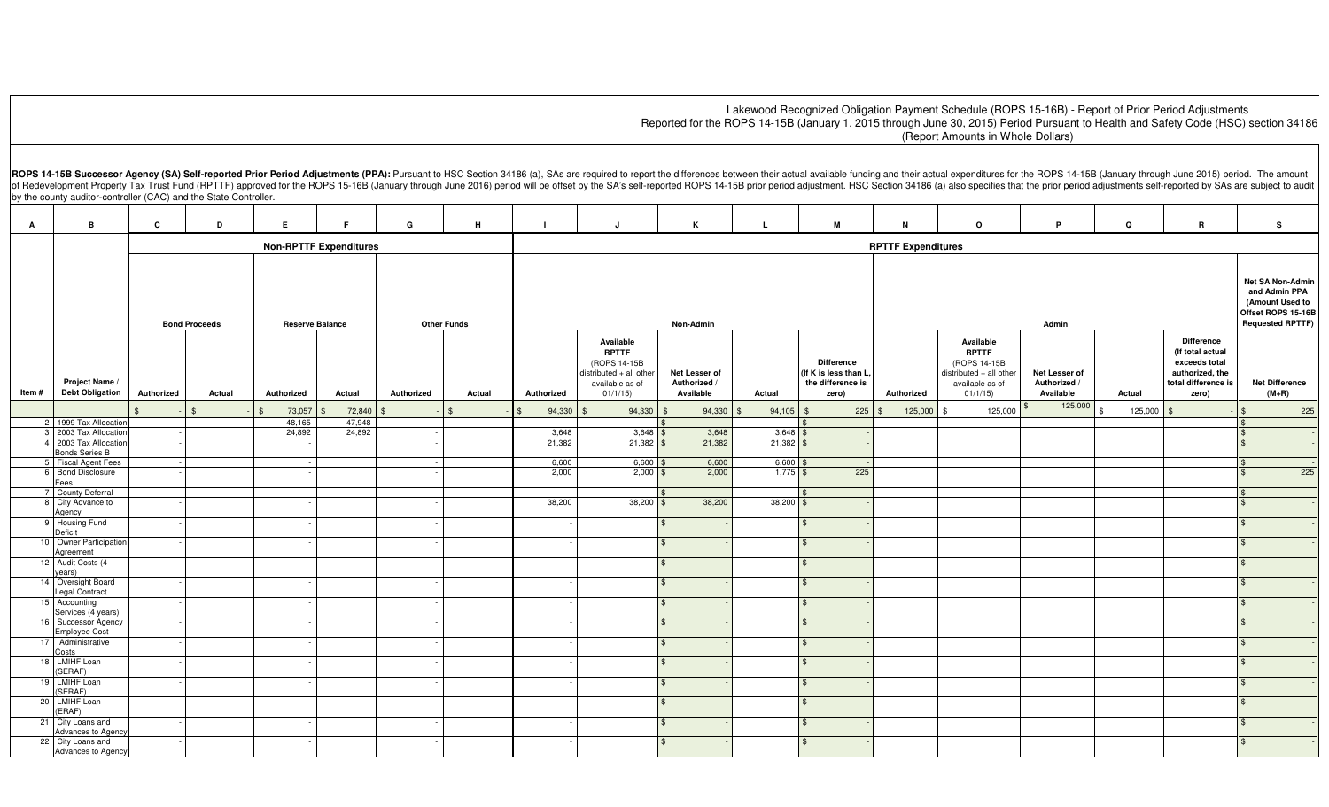## Lakewood Recognized Obligation Payment Schedule (ROPS 15-16B) - Report of Prior Period Adjustments Reported for the ROPS 14-15B (January 1, 2015 through June 30, 2015) Period Pursuant to Health and Safety Code (HSC) section 34186 ((Report Amounts in Whole Dollars)

ROPS 14-15B Successor Agency (SA) Self-reported Prior Period Adjustments (PPA): Pursuant to HSC Section 34186 (a), SAs are required to report the differences between their actual available funding and their actual expendit of Redevelopment Property Tax Trust Fund (RPTTF) approved for the ROPS 15-16B (January through June 2016) period will be offset by the SA's self-reported ROPS 14-15B prior period adjustment. HSC Section 34186 (a) also spec by the county auditor-controller (CAC) and the State Controller.

| A      | B                                              | C                                                                    | D                  | Е.                            | F.     | G             | H                  | $\blacksquare$ | J                                                                                                   | к                                          |                | M                                                                       | $\mathbf N$               | $\circ$                                                                                            | P                                                                                                     | Q       | R                                                                                                         | s                                |
|--------|------------------------------------------------|----------------------------------------------------------------------|--------------------|-------------------------------|--------|---------------|--------------------|----------------|-----------------------------------------------------------------------------------------------------|--------------------------------------------|----------------|-------------------------------------------------------------------------|---------------------------|----------------------------------------------------------------------------------------------------|-------------------------------------------------------------------------------------------------------|---------|-----------------------------------------------------------------------------------------------------------|----------------------------------|
|        |                                                |                                                                      |                    | <b>Non-RPTTF Expenditures</b> |        |               |                    |                |                                                                                                     |                                            |                |                                                                         | <b>RPTTF Expenditures</b> |                                                                                                    |                                                                                                       |         |                                                                                                           |                                  |
|        |                                                | <b>Other Funds</b><br><b>Bond Proceeds</b><br><b>Reserve Balance</b> |                    |                               |        |               |                    |                |                                                                                                     | Non-Admin                                  |                |                                                                         |                           |                                                                                                    | Net SA Non-Admin<br>and Admin PPA<br>(Amount Used to<br>Offset ROPS 15-16B<br><b>Requested RPTTF)</b> |         |                                                                                                           |                                  |
| Item # | Project Name /<br><b>Debt Obligation</b>       | Authorized                                                           | Actual             | Authorized                    | Actual | Authorized    | Actual             | Authorized     | Available<br><b>RPTTF</b><br>(ROPS 14-15B<br>distributed + all other<br>available as of<br>01/1/15) | Net Lesser of<br>Authorized /<br>Available | Actual         | <b>Difference</b><br>(If K is less than L<br>the difference is<br>zero) | Authorized                | Available<br><b>RPTTF</b><br>(ROPS 14-15B<br>distributed + all other<br>available as of<br>01/1/15 | Net Lesser of<br>Authorized /<br>Available                                                            | Actual  | <b>Difference</b><br>(If total actual<br>exceeds total<br>authorized, the<br>total difference is<br>zero) | <b>Net Difference</b><br>$(M+R)$ |
|        |                                                |                                                                      | $\hat{\mathbf{r}}$ | 73,057                        | 72,840 |               | $\mathbf{\hat{s}}$ | 94,330         | 94,330                                                                                              | 94,330                                     | 94,105<br>- \$ | $225$ \$                                                                | 125,000                   | 125,000<br>\$                                                                                      | 125,000                                                                                               | 125,000 |                                                                                                           | 225                              |
|        | 2 1999 Tax Allocatio                           |                                                                      |                    | 48,165                        | 47,948 |               |                    |                |                                                                                                     |                                            |                |                                                                         |                           |                                                                                                    |                                                                                                       |         |                                                                                                           |                                  |
|        | 3 2003 Tax Allocation                          |                                                                      |                    | 24,892                        | 24,892 | $\sim$ $\sim$ |                    | 3,648          | $3,648$ \$                                                                                          | 3,648                                      | 3,648          |                                                                         |                           |                                                                                                    |                                                                                                       |         |                                                                                                           |                                  |
|        | 4 2003 Tax Allocation<br><b>Bonds Series B</b> |                                                                      |                    |                               |        |               |                    | 21,382         | $21,382$ \$                                                                                         | 21,382                                     | $21,382$ \$    |                                                                         |                           |                                                                                                    |                                                                                                       |         |                                                                                                           |                                  |
|        | 5 Fiscal Agent Fees                            |                                                                      |                    |                               |        |               |                    | 6,600          | 6,600                                                                                               | 6,600                                      | 6,600          |                                                                         |                           |                                                                                                    |                                                                                                       |         |                                                                                                           |                                  |
|        | 6 Bond Disclosure                              |                                                                      |                    |                               |        |               |                    | 2,000          | $2,000$ \$                                                                                          | 2,000                                      | $1,775$ \$     | 225                                                                     |                           |                                                                                                    |                                                                                                       |         |                                                                                                           | 225                              |
|        | Fees<br>7 County Deferral                      |                                                                      |                    |                               |        |               |                    |                |                                                                                                     |                                            |                |                                                                         |                           |                                                                                                    |                                                                                                       |         |                                                                                                           |                                  |
|        | 8 City Advance to                              |                                                                      |                    |                               |        |               |                    | 38,200         | $38,200$ \$                                                                                         | 38,200                                     | $38,200$ \$    |                                                                         |                           |                                                                                                    |                                                                                                       |         |                                                                                                           |                                  |
|        | Agency                                         |                                                                      |                    |                               |        |               |                    |                |                                                                                                     |                                            |                |                                                                         |                           |                                                                                                    |                                                                                                       |         |                                                                                                           |                                  |
|        | 9 Housing Fund                                 |                                                                      |                    |                               |        |               |                    |                |                                                                                                     | $\sqrt{3}$                                 |                | $\mathbf{\$}$                                                           |                           |                                                                                                    |                                                                                                       |         |                                                                                                           |                                  |
|        | Deficit<br>10 Owner Participation              |                                                                      |                    |                               |        |               |                    |                |                                                                                                     | $\mathbf{\$}$                              |                | $\mathfrak{L}$                                                          |                           |                                                                                                    |                                                                                                       |         |                                                                                                           |                                  |
|        | Agreement                                      |                                                                      |                    |                               |        |               |                    |                |                                                                                                     |                                            |                |                                                                         |                           |                                                                                                    |                                                                                                       |         |                                                                                                           |                                  |
|        | 12 Audit Costs (4                              |                                                                      |                    |                               |        |               |                    |                |                                                                                                     | $\mathbf{\$}$                              |                | $\mathfrak{L}$                                                          |                           |                                                                                                    |                                                                                                       |         |                                                                                                           |                                  |
|        | years)                                         |                                                                      |                    |                               |        |               |                    |                |                                                                                                     |                                            |                |                                                                         |                           |                                                                                                    |                                                                                                       |         |                                                                                                           |                                  |
|        | 14 Oversight Board<br>Legal Contract           |                                                                      |                    |                               |        |               |                    |                |                                                                                                     | $\mathbf{\$}$                              |                | $\mathfrak{L}$                                                          |                           |                                                                                                    |                                                                                                       |         |                                                                                                           |                                  |
|        | 15 Accounting                                  |                                                                      |                    |                               |        |               |                    |                |                                                                                                     | $\mathbf{\$}$                              |                | $\mathfrak{L}$                                                          |                           |                                                                                                    |                                                                                                       |         |                                                                                                           |                                  |
|        | Services (4 years)                             |                                                                      |                    |                               |        |               |                    |                |                                                                                                     |                                            |                |                                                                         |                           |                                                                                                    |                                                                                                       |         |                                                                                                           |                                  |
|        | 16 Successor Agency<br><b>Employee Cost</b>    |                                                                      |                    |                               |        |               |                    |                |                                                                                                     | \$                                         |                | $\mathfrak{L}$                                                          |                           |                                                                                                    |                                                                                                       |         |                                                                                                           |                                  |
|        | 17 Administrative                              |                                                                      |                    |                               |        |               |                    |                |                                                                                                     | $\mathbf{\$}$                              |                | $\mathbf{\$}$                                                           |                           |                                                                                                    |                                                                                                       |         |                                                                                                           |                                  |
|        | Costs                                          |                                                                      |                    |                               |        |               |                    |                |                                                                                                     |                                            |                |                                                                         |                           |                                                                                                    |                                                                                                       |         |                                                                                                           |                                  |
|        | 18 LMIHF Loan<br>(SERAF)                       |                                                                      |                    |                               |        |               |                    |                |                                                                                                     | \$                                         |                | $\mathbf{\$}$                                                           |                           |                                                                                                    |                                                                                                       |         |                                                                                                           |                                  |
|        | 19 LMIHF Loan                                  |                                                                      |                    |                               |        |               |                    |                |                                                                                                     |                                            |                | \$                                                                      |                           |                                                                                                    |                                                                                                       |         |                                                                                                           |                                  |
|        | (SERAF)                                        |                                                                      |                    |                               |        |               |                    |                |                                                                                                     |                                            |                |                                                                         |                           |                                                                                                    |                                                                                                       |         |                                                                                                           |                                  |
|        | 20 LMIHF Loan                                  |                                                                      |                    |                               |        |               |                    |                |                                                                                                     | $\mathbf{\$}$                              |                | $\mathbf{\$}$                                                           |                           |                                                                                                    |                                                                                                       |         |                                                                                                           |                                  |
|        | (ERAF)<br>21 City Loans and                    |                                                                      |                    |                               |        |               |                    |                |                                                                                                     | \$                                         |                | $\mathbf{\$}$                                                           |                           |                                                                                                    |                                                                                                       |         |                                                                                                           | $\hat{\mathcal{F}}$              |
|        | Advances to Agenc                              |                                                                      |                    |                               |        |               |                    |                |                                                                                                     |                                            |                |                                                                         |                           |                                                                                                    |                                                                                                       |         |                                                                                                           |                                  |
|        | 22 City Loans and                              |                                                                      |                    |                               |        |               |                    |                |                                                                                                     | $\mathbf{\$}$                              |                | $\mathfrak{L}$                                                          |                           |                                                                                                    |                                                                                                       |         |                                                                                                           |                                  |
|        | Advances to Agency                             |                                                                      |                    |                               |        |               |                    |                |                                                                                                     |                                            |                |                                                                         |                           |                                                                                                    |                                                                                                       |         |                                                                                                           |                                  |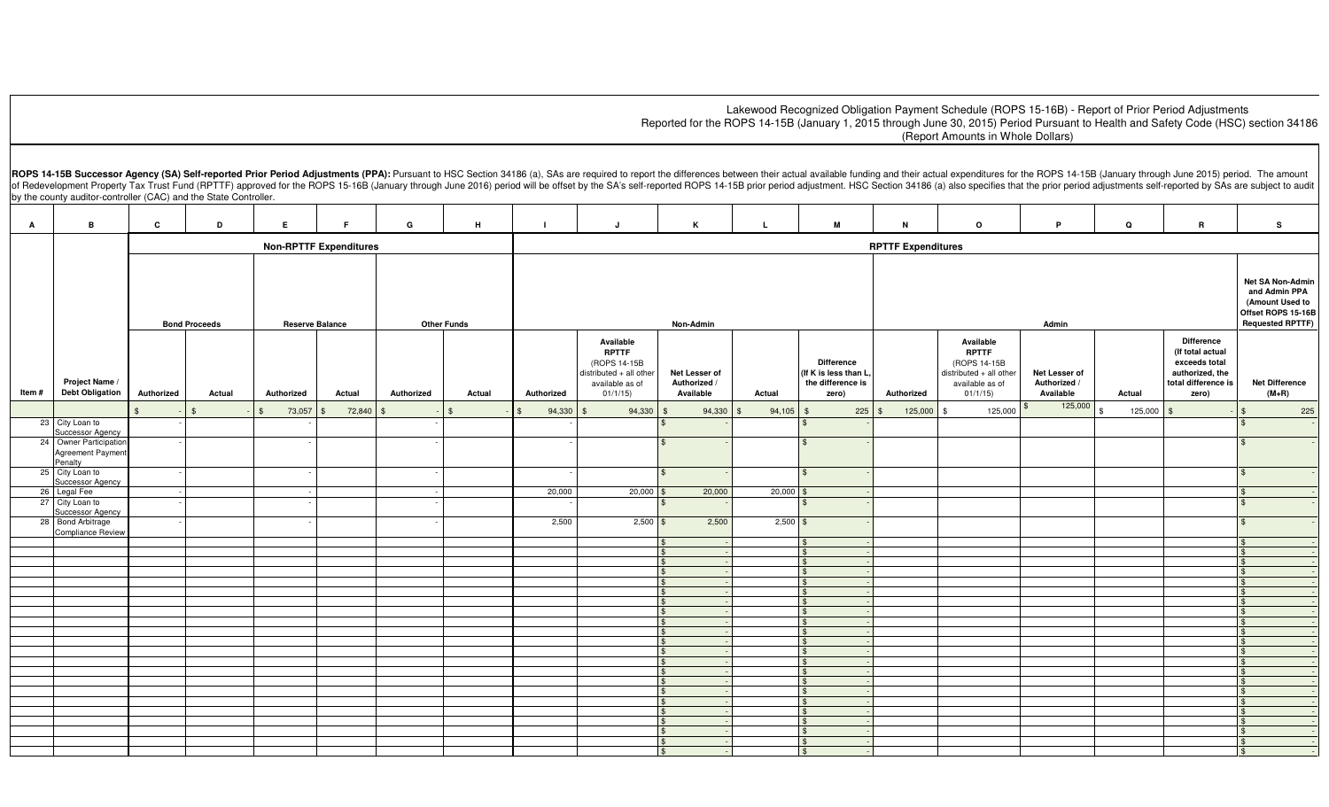## Lakewood Recognized Obligation Payment Schedule (ROPS 15-16B) - Report of Prior Period Adjustments Reported for the ROPS 14-15B (January 1, 2015 through June 30, 2015) Period Pursuant to Health and Safety Code (HSC) section 34186 ((Report Amounts in Whole Dollars)

ROPS 14-15B Successor Agency (SA) Self-reported Prior Period Adjustments (PPA): Pursuant to HSC Section 34186 (a), SAs are required to report the differences between their actual available funding and their actual expendit of Redevelopment Property Tax Trust Fund (RPTTF) approved for the ROPS 15-16B (January through June 2016) period will be offset by the SA's self-reported ROPS 14-15B prior period adjustment. HSC Section 34186 (a) also spec by the county auditor-controller (CAC) and the State Controller.

| $\mathbf{A}$ | B                                                                          | $\mathbf{c}$                  | D                    | Е.                     | F.                 | G          | н.                 | $\mathbf{I}$ | J.                                                                                                 | $\mathbf{K}$                               | L              | M                                                                        | $\mathbf N$               | $\circ$                                                                                              | P.                                         | Q                  | $\mathbf R$                                                                                               | s                                                                                                     |
|--------------|----------------------------------------------------------------------------|-------------------------------|----------------------|------------------------|--------------------|------------|--------------------|--------------|----------------------------------------------------------------------------------------------------|--------------------------------------------|----------------|--------------------------------------------------------------------------|---------------------------|------------------------------------------------------------------------------------------------------|--------------------------------------------|--------------------|-----------------------------------------------------------------------------------------------------------|-------------------------------------------------------------------------------------------------------|
|              |                                                                            | <b>Non-RPTTF Expenditures</b> |                      |                        |                    |            |                    |              |                                                                                                    |                                            |                |                                                                          | <b>RPTTF Expenditures</b> |                                                                                                      |                                            |                    |                                                                                                           |                                                                                                       |
|              |                                                                            |                               | <b>Bond Proceeds</b> | <b>Reserve Balance</b> |                    |            | <b>Other Funds</b> |              |                                                                                                    | Non-Admin                                  |                |                                                                          |                           |                                                                                                      | Admin                                      |                    |                                                                                                           | Net SA Non-Admin<br>and Admin PPA<br>(Amount Used to<br>Offset ROPS 15-16B<br><b>Requested RPTTF)</b> |
| Item #       | Project Name /<br><b>Debt Obligation</b>                                   | Authorized                    | Actual               | Authorized             | Actual             | Authorized | Actual             | Authorized   | Available<br><b>RPTTF</b><br>(ROPS 14-15B<br>distributed + all other<br>available as of<br>01/1/15 | Net Lesser of<br>Authorized /<br>Available | Actual         | <b>Difference</b><br>(If K is less than L,<br>the difference is<br>zero) | Authorized                | Available<br><b>RPTTF</b><br>(ROPS 14-15B<br>$distributed + all other$<br>available as of<br>01/1/15 | Net Lesser of<br>Authorized /<br>Available | Actual             | <b>Difference</b><br>(If total actual<br>exceeds total<br>authorized, the<br>total difference is<br>zero) | <b>Net Difference</b><br>$(M+R)$                                                                      |
|              |                                                                            |                               | $\mathbf{s}$         | 73,057                 | 72,840<br><b>S</b> |            | $\mathbf{\$}$      | 94,330       | 94,330                                                                                             | 94,330<br>\$                               | 94,105<br>l \$ |                                                                          | $225$ \$<br>125,000       | 125,000<br>\$                                                                                        | 125,000                                    | $125,000$ \$<br>\$ |                                                                                                           | 225                                                                                                   |
|              | 23 City Loan to                                                            |                               |                      |                        |                    |            |                    |              |                                                                                                    |                                            |                |                                                                          |                           |                                                                                                      |                                            |                    |                                                                                                           |                                                                                                       |
|              | Successor Agency<br>24 Owner Participation<br>Agreement Payment<br>Penalty |                               |                      |                        |                    |            |                    |              |                                                                                                    | $\mathbf{\$}$                              |                | $\mathbf{\$}$                                                            |                           |                                                                                                      |                                            |                    |                                                                                                           |                                                                                                       |
|              | 25 City Loan to                                                            |                               |                      |                        |                    |            |                    |              |                                                                                                    | $\mathbf{\$}$                              |                | $\mathbb{S}$                                                             |                           |                                                                                                      |                                            |                    |                                                                                                           |                                                                                                       |
|              | <b>Successor Agency</b><br>26 Legal Fee                                    |                               |                      |                        |                    |            |                    | 20,000       | $20,000$ \$                                                                                        | 20,000                                     | 20,000         |                                                                          |                           |                                                                                                      |                                            |                    |                                                                                                           |                                                                                                       |
|              | 27 City Loan to<br>Successor Agency                                        |                               |                      |                        |                    |            |                    |              |                                                                                                    |                                            |                |                                                                          |                           |                                                                                                      |                                            |                    |                                                                                                           |                                                                                                       |
|              | 28 Bond Arbitrage<br><b>Compliance Review</b>                              |                               |                      |                        |                    |            |                    | 2,500        | $2,500$ \$                                                                                         | 2,500                                      | $2,500$ \$     |                                                                          |                           |                                                                                                      |                                            |                    |                                                                                                           |                                                                                                       |
|              |                                                                            |                               |                      |                        |                    |            |                    |              |                                                                                                    | <b>S</b>                                   |                | $\mathfrak{L}$                                                           |                           |                                                                                                      |                                            |                    |                                                                                                           |                                                                                                       |
|              |                                                                            |                               |                      |                        |                    |            |                    |              |                                                                                                    | $\mathcal{F}$                              |                | $\mathbf{\hat{z}}$                                                       |                           |                                                                                                      |                                            |                    |                                                                                                           |                                                                                                       |
|              |                                                                            |                               |                      |                        |                    |            |                    |              |                                                                                                    | $\mathcal{F}$                              |                | \$                                                                       |                           |                                                                                                      |                                            |                    |                                                                                                           |                                                                                                       |
|              |                                                                            |                               |                      |                        |                    |            |                    |              |                                                                                                    | $\mathbb{R}$                               |                | $\hat{\mathbf{r}}$                                                       |                           |                                                                                                      |                                            |                    |                                                                                                           |                                                                                                       |
|              |                                                                            |                               |                      |                        |                    |            |                    |              |                                                                                                    | $\mathcal{F}$<br>$\mathcal{L}$             |                | \$                                                                       |                           |                                                                                                      |                                            |                    |                                                                                                           |                                                                                                       |
|              |                                                                            |                               |                      |                        |                    |            |                    |              |                                                                                                    | $\mathbf{\$}$                              |                | $\mathcal{L}$                                                            |                           |                                                                                                      |                                            |                    |                                                                                                           |                                                                                                       |
|              |                                                                            |                               |                      |                        |                    |            |                    |              |                                                                                                    | $\mathcal{L}$                              |                | $\mathbf{f}$                                                             |                           |                                                                                                      |                                            |                    |                                                                                                           |                                                                                                       |
|              |                                                                            |                               |                      |                        |                    |            |                    |              |                                                                                                    | $\mathcal{F}$                              |                | $\mathcal{L}$                                                            |                           |                                                                                                      |                                            |                    |                                                                                                           |                                                                                                       |
|              |                                                                            |                               |                      |                        |                    |            |                    |              |                                                                                                    | $\mathcal{F}$                              |                | $\mathfrak{L}$                                                           |                           |                                                                                                      |                                            |                    |                                                                                                           |                                                                                                       |
|              |                                                                            |                               |                      |                        |                    |            |                    |              |                                                                                                    | $\mathcal{L}$                              |                | $\mathcal{L}$                                                            |                           |                                                                                                      |                                            |                    |                                                                                                           |                                                                                                       |
|              |                                                                            |                               |                      |                        |                    |            |                    |              |                                                                                                    | $\mathcal{F}$                              |                | \$                                                                       |                           |                                                                                                      |                                            |                    |                                                                                                           |                                                                                                       |
|              |                                                                            |                               |                      |                        |                    |            |                    |              |                                                                                                    | $\mathbf{\$}$                              |                | $\mathcal{L}$                                                            |                           |                                                                                                      |                                            |                    |                                                                                                           |                                                                                                       |
|              |                                                                            |                               |                      |                        |                    |            |                    |              |                                                                                                    | $\mathbf{\$}$                              |                | $\mathcal{L}$                                                            |                           |                                                                                                      |                                            |                    |                                                                                                           |                                                                                                       |
|              |                                                                            |                               |                      |                        |                    |            |                    |              |                                                                                                    | $\mathcal{F}$                              |                | $\mathbf{f}$                                                             |                           |                                                                                                      |                                            |                    |                                                                                                           |                                                                                                       |
|              |                                                                            |                               |                      |                        |                    |            |                    |              |                                                                                                    | $\mathbf{\$}$<br>$\mathbf{s}$              |                | $\mathcal{L}$<br>$\mathcal{L}$                                           |                           |                                                                                                      |                                            |                    |                                                                                                           |                                                                                                       |
|              |                                                                            |                               |                      |                        |                    |            |                    |              |                                                                                                    | $\mathbf{\$}$                              |                | $\mathfrak{L}$                                                           |                           |                                                                                                      |                                            |                    |                                                                                                           |                                                                                                       |
|              |                                                                            |                               |                      |                        |                    |            |                    |              |                                                                                                    | $\mathcal{F}$                              |                | \$                                                                       |                           |                                                                                                      |                                            |                    |                                                                                                           |                                                                                                       |
|              |                                                                            |                               |                      |                        |                    |            |                    |              |                                                                                                    | $\mathbf{\$}$                              |                | \$                                                                       |                           |                                                                                                      |                                            |                    |                                                                                                           |                                                                                                       |
|              |                                                                            |                               |                      |                        |                    |            |                    |              |                                                                                                    | $\mathcal{F}$                              |                |                                                                          |                           |                                                                                                      |                                            |                    |                                                                                                           |                                                                                                       |
|              |                                                                            |                               |                      |                        |                    |            |                    |              |                                                                                                    | <b>S</b>                                   |                |                                                                          |                           |                                                                                                      |                                            |                    |                                                                                                           |                                                                                                       |